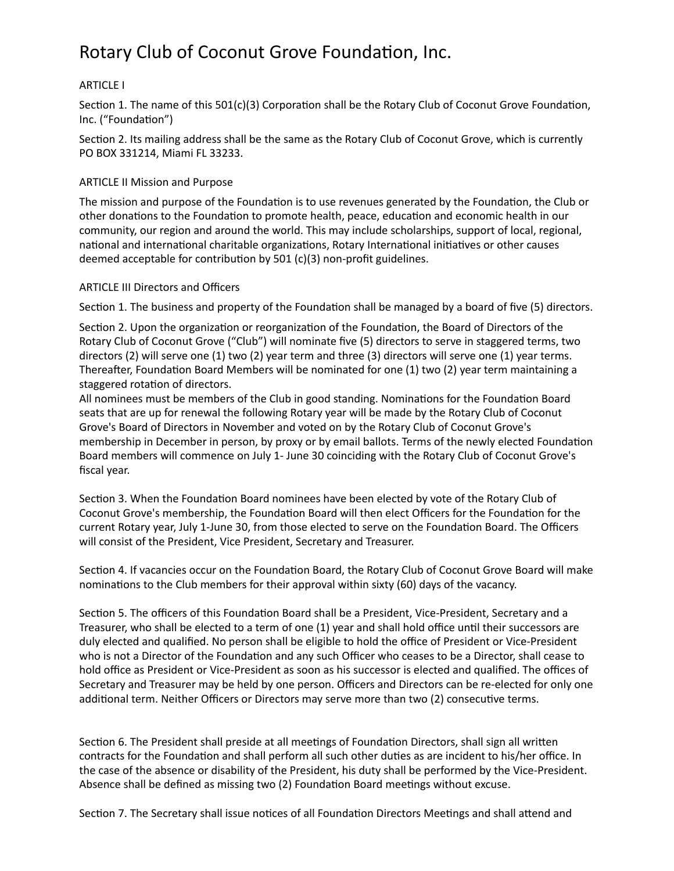# Rotary Club of Coconut Grove Foundation, Inc.

## **ARTICLE I**

Section 1. The name of this  $501(c)(3)$  Corporation shall be the Rotary Club of Coconut Grove Foundation, Inc. ("Foundation")

Section 2. Its mailing address shall be the same as the Rotary Club of Coconut Grove, which is currently PO BOX 331214, Miami FL 33233.

## **ARTICLE II Mission and Purpose**

The mission and purpose of the Foundation is to use revenues generated by the Foundation, the Club or other donations to the Foundation to promote health, peace, education and economic health in our community, our region and around the world. This may include scholarships, support of local, regional, national and international charitable organizations, Rotary International initiatives or other causes deemed acceptable for contribution by 501 (c)(3) non-profit guidelines.

## ARTICLE III Directors and Officers

Section 1. The business and property of the Foundation shall be managed by a board of five (5) directors.

Section 2. Upon the organization or reorganization of the Foundation, the Board of Directors of the Rotary Club of Coconut Grove ("Club") will nominate five (5) directors to serve in staggered terms, two directors (2) will serve one (1) two (2) year term and three (3) directors will serve one (1) year terms. Thereafter, Foundation Board Members will be nominated for one  $(1)$  two  $(2)$  year term maintaining a staggered rotation of directors.

All nominees must be members of the Club in good standing. Nominations for the Foundation Board seats that are up for renewal the following Rotary year will be made by the Rotary Club of Coconut Grove's Board of Directors in November and voted on by the Rotary Club of Coconut Grove's membership in December in person, by proxy or by email ballots. Terms of the newly elected Foundation Board members will commence on July 1- June 30 coinciding with the Rotary Club of Coconut Grove's fiscal year.

Section 3. When the Foundation Board nominees have been elected by vote of the Rotary Club of Coconut Grove's membership, the Foundation Board will then elect Officers for the Foundation for the current Rotary year, July 1-June 30, from those elected to serve on the Foundation Board. The Officers will consist of the President, Vice President, Secretary and Treasurer.

Section 4. If vacancies occur on the Foundation Board, the Rotary Club of Coconut Grove Board will make nominations to the Club members for their approval within sixty (60) days of the vacancy.

Section 5. The officers of this Foundation Board shall be a President, Vice-President, Secretary and a Treasurer, who shall be elected to a term of one (1) year and shall hold office until their successors are duly elected and qualified. No person shall be eligible to hold the office of President or Vice-President who is not a Director of the Foundation and any such Officer who ceases to be a Director, shall cease to hold office as President or Vice-President as soon as his successor is elected and qualified. The offices of Secretary and Treasurer may be held by one person. Officers and Directors can be re-elected for only one additional term. Neither Officers or Directors may serve more than two (2) consecutive terms.

Section 6. The President shall preside at all meetings of Foundation Directors, shall sign all written contracts for the Foundation and shall perform all such other duties as are incident to his/her office. In the case of the absence or disability of the President, his duty shall be performed by the Vice-President. Absence shall be defined as missing two (2) Foundation Board meetings without excuse.

Section 7. The Secretary shall issue notices of all Foundation Directors Meetings and shall attend and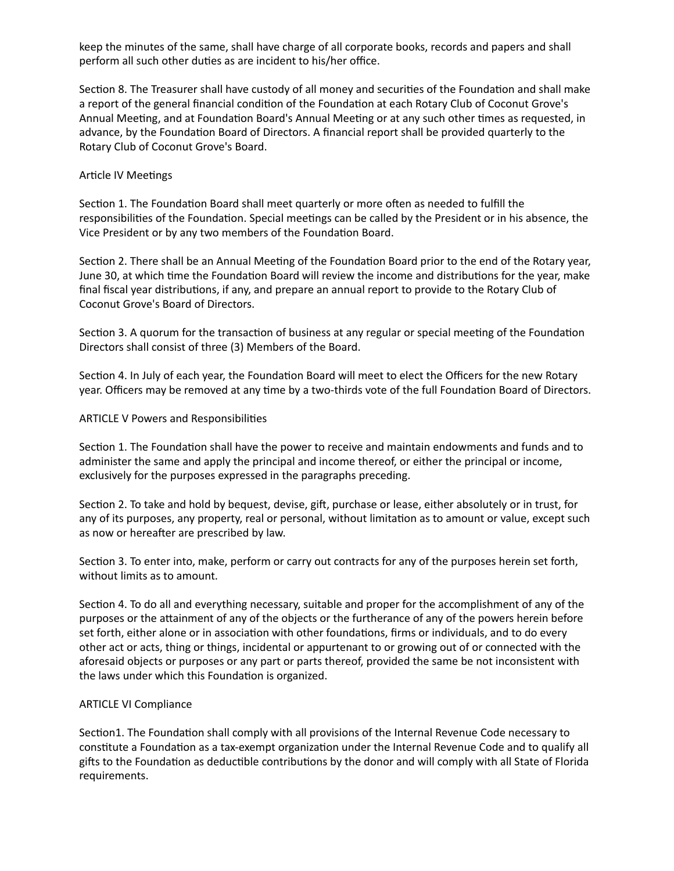keep the minutes of the same, shall have charge of all corporate books, records and papers and shall perform all such other duties as are incident to his/her office.

Section 8. The Treasurer shall have custody of all money and securities of the Foundation and shall make a report of the general financial condition of the Foundation at each Rotary Club of Coconut Grove's Annual Meeting, and at Foundation Board's Annual Meeting or at any such other times as requested, in advance, by the Foundation Board of Directors. A financial report shall be provided quarterly to the Rotary Club of Coconut Grove's Board.

## Article IV Meetings

Section 1. The Foundation Board shall meet quarterly or more often as needed to fulfill the responsibilities of the Foundation. Special meetings can be called by the President or in his absence, the Vice President or by any two members of the Foundation Board.

Section 2. There shall be an Annual Meeting of the Foundation Board prior to the end of the Rotary year, June 30, at which time the Foundation Board will review the income and distributions for the year, make final fiscal year distributions, if any, and prepare an annual report to provide to the Rotary Club of Coconut Grove's Board of Directors.

Section 3. A quorum for the transaction of business at any regular or special meeting of the Foundation Directors shall consist of three (3) Members of the Board.

Section 4. In July of each year, the Foundation Board will meet to elect the Officers for the new Rotary year. Officers may be removed at any time by a two-thirds vote of the full Foundation Board of Directors.

#### ARTICLE V Powers and Responsibilities

Section 1. The Foundation shall have the power to receive and maintain endowments and funds and to administer the same and apply the principal and income thereof, or either the principal or income, exclusively for the purposes expressed in the paragraphs preceding.

Section 2. To take and hold by bequest, devise, gift, purchase or lease, either absolutely or in trust, for any of its purposes, any property, real or personal, without limitation as to amount or value, except such as now or hereafter are prescribed by law.

Section 3. To enter into, make, perform or carry out contracts for any of the purposes herein set forth, without limits as to amount.

Section 4. To do all and everything necessary, suitable and proper for the accomplishment of any of the purposes or the attainment of any of the objects or the furtherance of any of the powers herein before set forth, either alone or in association with other foundations, firms or individuals, and to do every other act or acts, thing or things, incidental or appurtenant to or growing out of or connected with the aforesaid objects or purposes or any part or parts thereof, provided the same be not inconsistent with the laws under which this Foundation is organized.

## **ARTICLE VI Compliance**

Section1. The Foundation shall comply with all provisions of the Internal Revenue Code necessary to constitute a Foundation as a tax-exempt organization under the Internal Revenue Code and to qualify all gifts to the Foundation as deductible contributions by the donor and will comply with all State of Florida requirements.